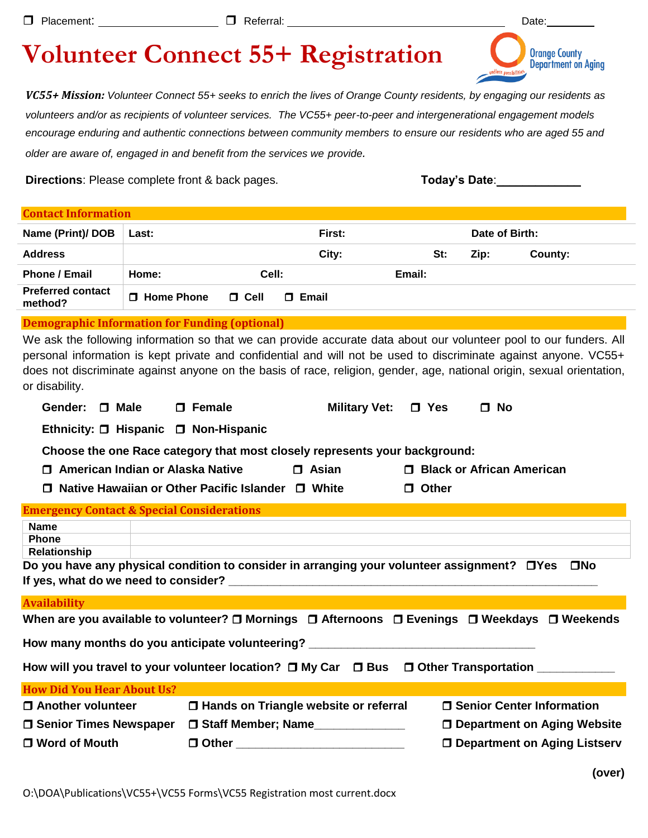|  | <b>Volunteer Connect 55+ Registration</b> |  |  |
|--|-------------------------------------------|--|--|
|  |                                           |  |  |

*VC55+ Mission: Volunteer Connect 55+ seeks to enrich the lives of Orange County residents, by engaging our residents as volunteers and/or as recipients of volunteer services. The VC55+ peer-to-peer and intergenerational engagement models encourage enduring and authentic connections between community members to ensure our residents who are aged 55 and older are aware of, engaged in and benefit from the services we provide.*

Directions: Please complete front & back pages. **Today's Date**: **Today's Date**:

**Orange County<br>Department on Aging** 

| <b>Contact Information</b>                                                                                                                                                                                                                                                                                                                                                         |                                                                                   |                                                                            |                             |                      |            |     |                |                                       |
|------------------------------------------------------------------------------------------------------------------------------------------------------------------------------------------------------------------------------------------------------------------------------------------------------------------------------------------------------------------------------------|-----------------------------------------------------------------------------------|----------------------------------------------------------------------------|-----------------------------|----------------------|------------|-----|----------------|---------------------------------------|
| Name (Print)/ DOB                                                                                                                                                                                                                                                                                                                                                                  | Last:                                                                             |                                                                            |                             | First:               |            |     | Date of Birth: |                                       |
| <b>Address</b>                                                                                                                                                                                                                                                                                                                                                                     |                                                                                   |                                                                            |                             | City:                |            | St: | Zip:           | County:                               |
| <b>Phone / Email</b>                                                                                                                                                                                                                                                                                                                                                               | Home:                                                                             | Cell:                                                                      |                             |                      | Email:     |     |                |                                       |
| <b>Preferred contact</b><br>method?                                                                                                                                                                                                                                                                                                                                                | □ Home Phone                                                                      | $\Box$ Cell                                                                | $\Box$ Email                |                      |            |     |                |                                       |
| <b>Demographic Information for Funding (optional)</b>                                                                                                                                                                                                                                                                                                                              |                                                                                   |                                                                            |                             |                      |            |     |                |                                       |
| We ask the following information so that we can provide accurate data about our volunteer pool to our funders. All<br>personal information is kept private and confidential and will not be used to discriminate against anyone. VC55+<br>does not discriminate against anyone on the basis of race, religion, gender, age, national origin, sexual orientation,<br>or disability. |                                                                                   |                                                                            |                             |                      |            |     |                |                                       |
| Gender:<br>□ Male                                                                                                                                                                                                                                                                                                                                                                  |                                                                                   | □ Female                                                                   |                             | <b>Military Vet:</b> | $\Box$ Yes |     | $\Box$ No      |                                       |
|                                                                                                                                                                                                                                                                                                                                                                                    |                                                                                   | Ethnicity: □ Hispanic □ Non-Hispanic                                       |                             |                      |            |     |                |                                       |
|                                                                                                                                                                                                                                                                                                                                                                                    |                                                                                   | Choose the one Race category that most closely represents your background: |                             |                      |            |     |                |                                       |
|                                                                                                                                                                                                                                                                                                                                                                                    | □ American Indian or Alaska Native<br>$\Box$ Asian<br>□ Black or African American |                                                                            |                             |                      |            |     |                |                                       |
|                                                                                                                                                                                                                                                                                                                                                                                    | $\Box$ Native Hawaiian or Other Pacific Islander $\Box$ White<br>$\Box$ Other     |                                                                            |                             |                      |            |     |                |                                       |
| <b>Emergency Contact &amp; Special Considerations</b>                                                                                                                                                                                                                                                                                                                              |                                                                                   |                                                                            |                             |                      |            |     |                |                                       |
| <b>Name</b>                                                                                                                                                                                                                                                                                                                                                                        |                                                                                   |                                                                            |                             |                      |            |     |                |                                       |
| <b>Phone</b><br>Relationship                                                                                                                                                                                                                                                                                                                                                       |                                                                                   |                                                                            |                             |                      |            |     |                |                                       |
| Do you have any physical condition to consider in arranging your volunteer assignment? □ Yes<br>$\square$ No                                                                                                                                                                                                                                                                       |                                                                                   |                                                                            |                             |                      |            |     |                |                                       |
|                                                                                                                                                                                                                                                                                                                                                                                    |                                                                                   |                                                                            |                             |                      |            |     |                |                                       |
| <b>Availability</b>                                                                                                                                                                                                                                                                                                                                                                |                                                                                   |                                                                            |                             |                      |            |     |                |                                       |
| When are you available to volunteer? □ Mornings □ Afternoons □ Evenings □ Weekdays □ Weekends                                                                                                                                                                                                                                                                                      |                                                                                   |                                                                            |                             |                      |            |     |                |                                       |
| How many months do you anticipate volunteering? ________________________________                                                                                                                                                                                                                                                                                                   |                                                                                   |                                                                            |                             |                      |            |     |                |                                       |
| How will you travel to your volunteer location? □ My Car □ Bus □ Other Transportation __________                                                                                                                                                                                                                                                                                   |                                                                                   |                                                                            |                             |                      |            |     |                |                                       |
| <b>How Did You Hear About Us?</b>                                                                                                                                                                                                                                                                                                                                                  |                                                                                   |                                                                            |                             |                      |            |     |                |                                       |
| □ Another volunteer<br>□ Hands on Triangle website or referral                                                                                                                                                                                                                                                                                                                     |                                                                                   |                                                                            | □ Senior Center Information |                      |            |     |                |                                       |
| <b>O Senior Times Newspaper</b><br>□ Staff Member; Name                                                                                                                                                                                                                                                                                                                            |                                                                                   |                                                                            |                             |                      |            |     |                | □ Department on Aging Website         |
| □ Word of Mouth                                                                                                                                                                                                                                                                                                                                                                    |                                                                                   |                                                                            |                             |                      |            |     |                | <b>O</b> Department on Aging Listserv |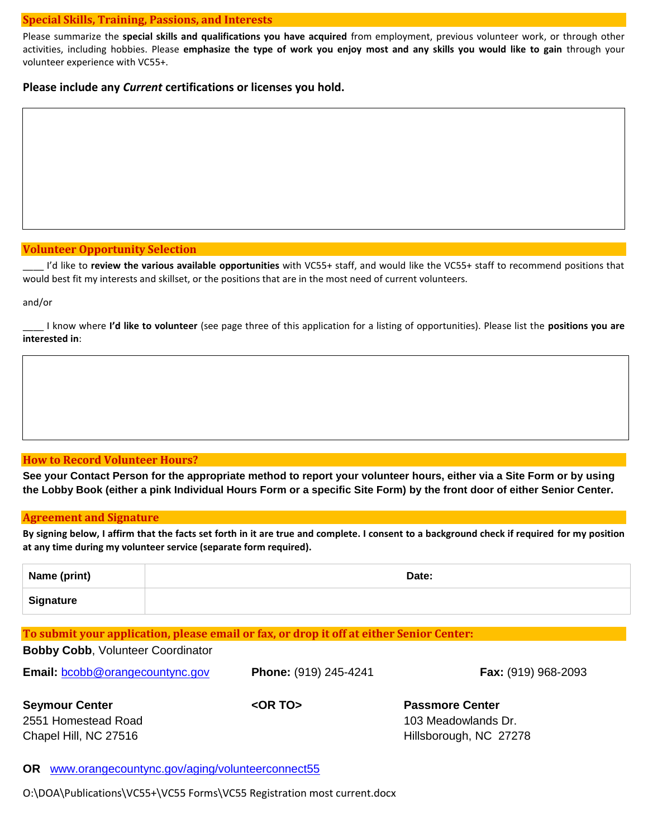#### **Special Skills, Training, Passions, and Interests**

Please summarize the **special skills and qualifications you have acquired** from employment, previous volunteer work, or through other activities, including hobbies. Please **emphasize the type of work you enjoy most and any skills you would like to gain** through your volunteer experience with VC55+.

**Please include any** *Current* **certifications or licenses you hold.**

## **Volunteer Opportunity Selection**

\_\_\_\_ I'd like to **review the various available opportunities** with VC55+ staff, and would like the VC55+ staff to recommend positions that would best fit my interests and skillset, or the positions that are in the most need of current volunteers.

and/or

\_\_\_\_ I know where **I'd like to volunteer** (see page three of this application for a listing of opportunities). Please list the **positions you are interested in**:

## **How to Record Volunteer Hours?**

**Bobby Cobb**, Volunteer Coordinator

**See your Contact Person for the appropriate method to report your volunteer hours, either via a Site Form or by using the Lobby Book (either a pink Individual Hours Form or a specific Site Form) by the front door of either Senior Center.**

## **Agreement and Signature**

**By signing below, I affirm that the facts set forth in it are true and complete. I consent to a background check if required for my position at any time during my volunteer service (separate form required).**

| Name (print) | Date: |
|--------------|-------|
| Signature    |       |

## **To submit your application, please email or fax, or drop it off at either Senior Center:**

| <b>DUDY OUDD,</b> VUGHLOU OUDIGHIQLOI  |                              |                            |
|----------------------------------------|------------------------------|----------------------------|
| <b>Email:</b> bcobb@orangecountync.gov | <b>Phone: (919) 245-4241</b> | <b>Fax:</b> (919) 968-2093 |
| <b>Seymour Center</b>                  | $<$ OR TO $>$                | <b>Passmore Center</b>     |
| 2551 Homestead Road                    |                              | 103 Meadowlands Dr.        |
| Chapel Hill, NC 27516                  |                              | Hillsborough, NC 27278     |

## **OR** [www.orangecountync.gov/aging/volunteerconnect55](http://www.orangecountync.gov/aging/volunteerconnect55)